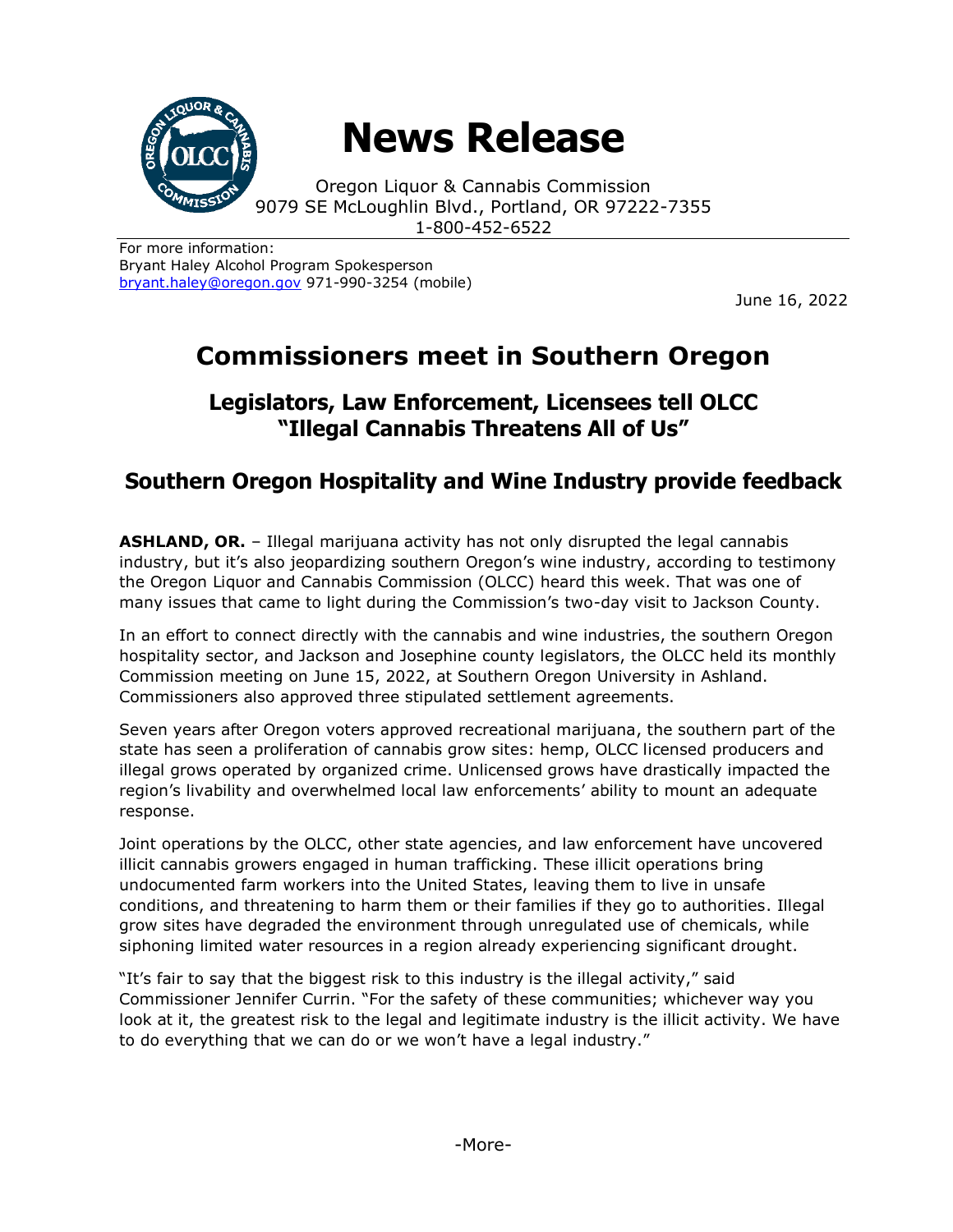

# **News Release**

Oregon Liquor & Cannabis Commission 9079 SE McLoughlin Blvd., Portland, OR 97222-7355 1-800-452-6522

For more information: Bryant Haley Alcohol Program Spokesperson [bryant.haley@oregon.gov](file:///C:/Users/mark.pettinger/AppData/Local/Microsoft/Windows/INetCache/Content.Outlook/ZTRJ5L75/bryant.haley@oregon.gov) 971-990-3254 (mobile)

June 16, 2022

## **Commissioners meet in Southern Oregon**

### **Legislators, Law Enforcement, Licensees tell OLCC "Illegal Cannabis Threatens All of Us"**

## **Southern Oregon Hospitality and Wine Industry provide feedback**

**ASHLAND, OR.** – Illegal marijuana activity has not only disrupted the legal cannabis industry, but it's also jeopardizing southern Oregon's wine industry, according to testimony the Oregon Liquor and Cannabis Commission (OLCC) heard this week. That was one of many issues that came to light during the Commission's two-day visit to Jackson County.

In an effort to connect directly with the cannabis and wine industries, the southern Oregon hospitality sector, and Jackson and Josephine county legislators, the OLCC held its monthly Commission meeting on June 15, 2022, at Southern Oregon University in Ashland. Commissioners also approved three stipulated settlement agreements.

Seven years after Oregon voters approved recreational marijuana, the southern part of the state has seen a proliferation of cannabis grow sites: hemp, OLCC licensed producers and illegal grows operated by organized crime. Unlicensed grows have drastically impacted the region's livability and overwhelmed local law enforcements' ability to mount an adequate response.

Joint operations by the OLCC, other state agencies, and law enforcement have uncovered illicit cannabis growers engaged in human trafficking. These illicit operations bring undocumented farm workers into the United States, leaving them to live in unsafe conditions, and threatening to harm them or their families if they go to authorities. Illegal grow sites have degraded the environment through unregulated use of chemicals, while siphoning limited water resources in a region already experiencing significant drought.

"It's fair to say that the biggest risk to this industry is the illegal activity," said Commissioner Jennifer Currin. "For the safety of these communities; whichever way you look at it, the greatest risk to the legal and legitimate industry is the illicit activity. We have to do everything that we can do or we won't have a legal industry."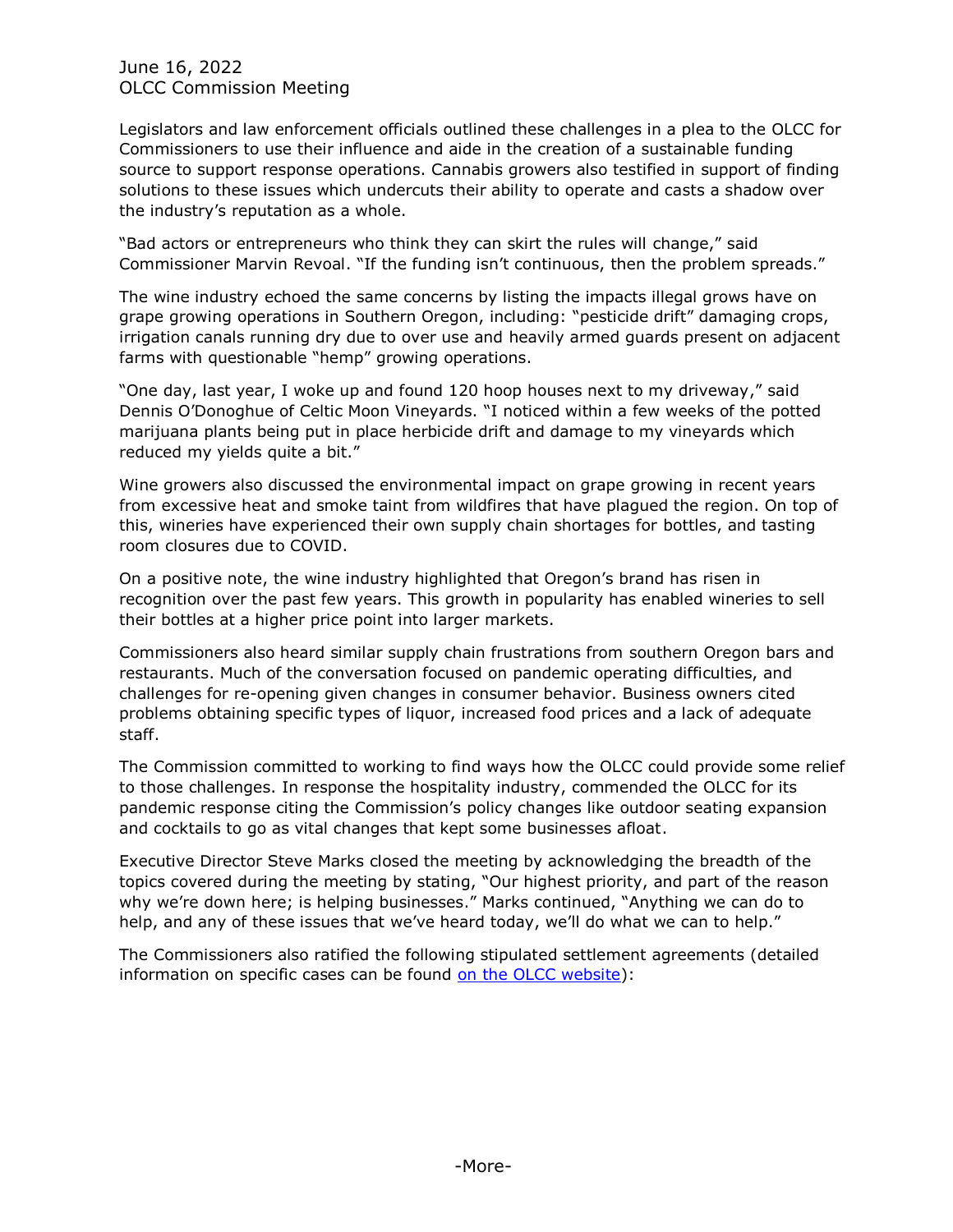June 16, 2022 OLCC Commission Meeting

Legislators and law enforcement officials outlined these challenges in a plea to the OLCC for Commissioners to use their influence and aide in the creation of a sustainable funding source to support response operations. Cannabis growers also testified in support of finding solutions to these issues which undercuts their ability to operate and casts a shadow over the industry's reputation as a whole.

"Bad actors or entrepreneurs who think they can skirt the rules will change," said Commissioner Marvin Revoal. "If the funding isn't continuous, then the problem spreads."

The wine industry echoed the same concerns by listing the impacts illegal grows have on grape growing operations in Southern Oregon, including: "pesticide drift" damaging crops, irrigation canals running dry due to over use and heavily armed guards present on adjacent farms with questionable "hemp" growing operations.

"One day, last year, I woke up and found 120 hoop houses next to my driveway," said Dennis O'Donoghue of Celtic Moon Vineyards. "I noticed within a few weeks of the potted marijuana plants being put in place herbicide drift and damage to my vineyards which reduced my yields quite a bit."

Wine growers also discussed the environmental impact on grape growing in recent years from excessive heat and smoke taint from wildfires that have plagued the region. On top of this, wineries have experienced their own supply chain shortages for bottles, and tasting room closures due to COVID.

On a positive note, the wine industry highlighted that Oregon's brand has risen in recognition over the past few years. This growth in popularity has enabled wineries to sell their bottles at a higher price point into larger markets.

Commissioners also heard similar supply chain frustrations from southern Oregon bars and restaurants. Much of the conversation focused on pandemic operating difficulties, and challenges for re-opening given changes in consumer behavior. Business owners cited problems obtaining specific types of liquor, increased food prices and a lack of adequate staff.

The Commission committed to working to find ways how the OLCC could provide some relief to those challenges. In response the hospitality industry, commended the OLCC for its pandemic response citing the Commission's policy changes like outdoor seating expansion and cocktails to go as vital changes that kept some businesses afloat.

Executive Director Steve Marks closed the meeting by acknowledging the breadth of the topics covered during the meeting by stating, "Our highest priority, and part of the reason why we're down here; is helping businesses." Marks continued, "Anything we can do to help, and any of these issues that we've heard today, we'll do what we can to help."

The Commissioners also ratified the following stipulated settlement agreements (detailed information on specific cases can be found [on the OLCC website\)](https://www.oregon.gov/olcc/Pages/final_orders.aspx):